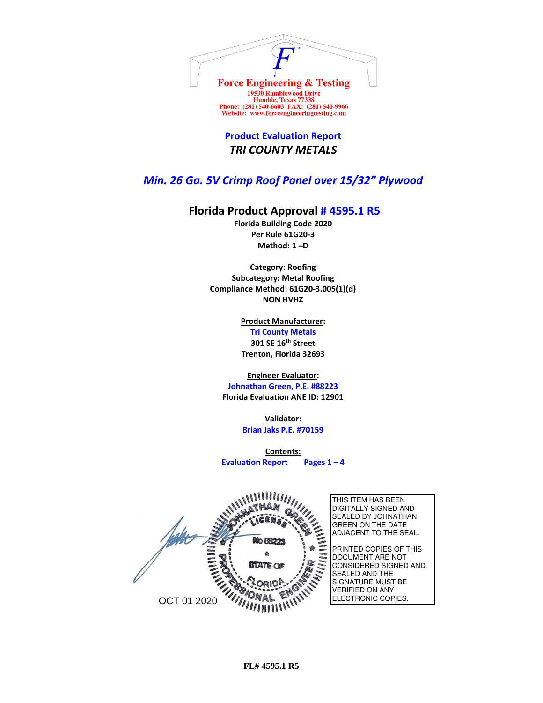

Website: www.forceengineeringtesting.com

**Product Evaluation Report** *TRI COUNTY METALS*

## *Min. 26 Ga. 5V Crimp Roof Panel over 15/32" Plywood*

## **Florida Product Approval # 4595.1 R5**

**Florida Building Code 2020 Per Rule 61G20-3 Method: 1 –D** 

**Category: Roofing Subcategory: Metal Roofing Compliance Method: 61G20-3.005(1)(d) NON HVHZ**

> **Product Manufacturer: Tri County Metals 301 SE 16th Street Trenton, Florida 32693**

## **Engineer Evaluator:**

**Johnathan Green, P.E. #88223 Florida Evaluation ANE ID: 12901**

> **Validator: Brian Jaks P.E. #70159**

**Contents: Evaluation Report Pages 1 – 4**

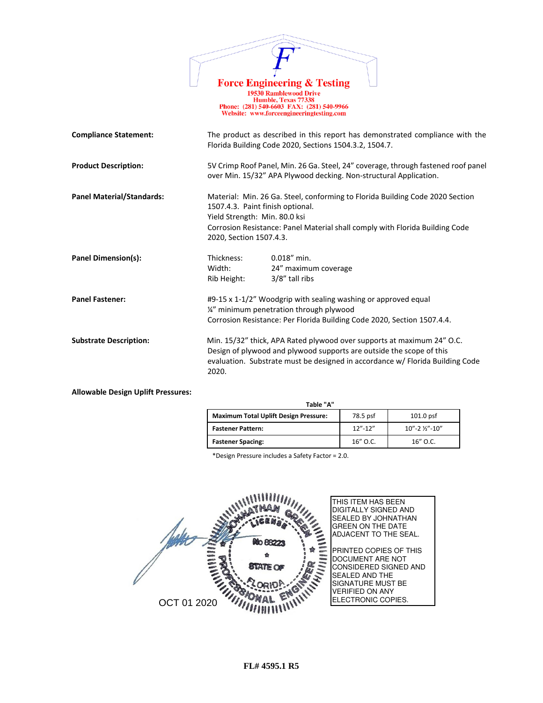|                                  |                                                                                                                                                                                                                                                               | <b>Force Engineering &amp; Testing</b><br><b>19530 Ramblewood Drive</b><br>Humble, Texas 77338<br>Phone: (281) 540-6603 FAX: (281) 540-9966<br>Website: www.forceengineeringtesting.com |  |
|----------------------------------|---------------------------------------------------------------------------------------------------------------------------------------------------------------------------------------------------------------------------------------------------------------|-----------------------------------------------------------------------------------------------------------------------------------------------------------------------------------------|--|
| <b>Compliance Statement:</b>     | The product as described in this report has demonstrated compliance with the<br>Florida Building Code 2020, Sections 1504.3.2, 1504.7.                                                                                                                        |                                                                                                                                                                                         |  |
| <b>Product Description:</b>      | 5V Crimp Roof Panel, Min. 26 Ga. Steel, 24" coverage, through fastened roof panel<br>over Min. 15/32" APA Plywood decking. Non-structural Application.                                                                                                        |                                                                                                                                                                                         |  |
| <b>Panel Material/Standards:</b> | Material: Min. 26 Ga. Steel, conforming to Florida Building Code 2020 Section<br>1507.4.3. Paint finish optional.<br>Yield Strength: Min. 80.0 ksi<br>Corrosion Resistance: Panel Material shall comply with Florida Building Code<br>2020, Section 1507.4.3. |                                                                                                                                                                                         |  |
| <b>Panel Dimension(s):</b>       | Thickness:<br>Width:<br>Rib Height:                                                                                                                                                                                                                           | $0.018''$ min.<br>24" maximum coverage<br>3/8" tall ribs                                                                                                                                |  |
| <b>Panel Fastener:</b>           | #9-15 x 1-1/2" Woodgrip with sealing washing or approved equal<br>1/4" minimum penetration through plywood<br>Corrosion Resistance: Per Florida Building Code 2020, Section 1507.4.4.                                                                         |                                                                                                                                                                                         |  |
| <b>Substrate Description:</b>    | Min. 15/32" thick, APA Rated plywood over supports at maximum 24" O.C.<br>Design of plywood and plywood supports are outside the scope of this<br>evaluation. Substrate must be designed in accordance w/ Florida Building Code<br>2020.                      |                                                                                                                                                                                         |  |

 $\overrightarrow{D}$ 

**Allowable Design Uplift Pressures:**

| Table "A"                                    |             |                     |  |  |
|----------------------------------------------|-------------|---------------------|--|--|
| <b>Maximum Total Uplift Design Pressure:</b> | 78.5 psf    | $101.0$ psf         |  |  |
| <b>Fastener Pattern:</b>                     | $12" - 12"$ | $10" - 2$ %" $-10"$ |  |  |
| <b>Fastener Spacing:</b>                     | $16''$ O.C. | $16''$ O.C.         |  |  |

\*Design Pressure includes a Safety Factor = 2.0.

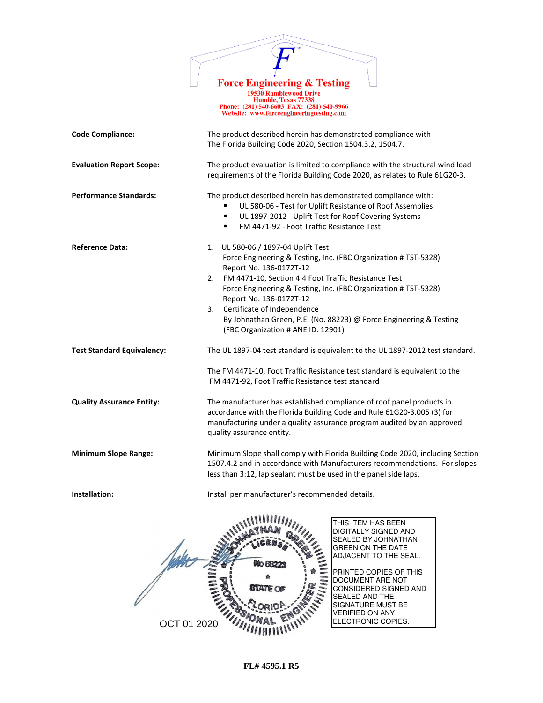

Force Engineering & Testing<br>
19530 Ramblewood Drive<br>
Humble, Texas 77338<br>
Phone: (281) 540-6603 FAX: (281) 540-9966<br>
Website: www.forceengineeringtesting.com

| <b>Code Compliance:</b>           | The product described herein has demonstrated compliance with<br>The Florida Building Code 2020, Section 1504.3.2, 1504.7.                                                                                                                                                                                                                                                                                                                    |
|-----------------------------------|-----------------------------------------------------------------------------------------------------------------------------------------------------------------------------------------------------------------------------------------------------------------------------------------------------------------------------------------------------------------------------------------------------------------------------------------------|
| <b>Evaluation Report Scope:</b>   | The product evaluation is limited to compliance with the structural wind load<br>requirements of the Florida Building Code 2020, as relates to Rule 61G20-3.                                                                                                                                                                                                                                                                                  |
| <b>Performance Standards:</b>     | The product described herein has demonstrated compliance with:<br>UL 580-06 - Test for Uplift Resistance of Roof Assemblies<br>UL 1897-2012 - Uplift Test for Roof Covering Systems<br>٠<br>FM 4471-92 - Foot Traffic Resistance Test<br>٠                                                                                                                                                                                                    |
| <b>Reference Data:</b>            | 1. UL 580-06 / 1897-04 Uplift Test<br>Force Engineering & Testing, Inc. (FBC Organization # TST-5328)<br>Report No. 136-0172T-12<br>FM 4471-10, Section 4.4 Foot Traffic Resistance Test<br>2.<br>Force Engineering & Testing, Inc. (FBC Organization # TST-5328)<br>Report No. 136-0172T-12<br>Certificate of Independence<br>3.<br>By Johnathan Green, P.E. (No. 88223) @ Force Engineering & Testing<br>(FBC Organization # ANE ID: 12901) |
| <b>Test Standard Equivalency:</b> | The UL 1897-04 test standard is equivalent to the UL 1897-2012 test standard.                                                                                                                                                                                                                                                                                                                                                                 |
|                                   | The FM 4471-10, Foot Traffic Resistance test standard is equivalent to the<br>FM 4471-92, Foot Traffic Resistance test standard                                                                                                                                                                                                                                                                                                               |
| <b>Quality Assurance Entity:</b>  | The manufacturer has established compliance of roof panel products in<br>accordance with the Florida Building Code and Rule 61G20-3.005 (3) for<br>manufacturing under a quality assurance program audited by an approved<br>quality assurance entity.                                                                                                                                                                                        |
| <b>Minimum Slope Range:</b>       | Minimum Slope shall comply with Florida Building Code 2020, including Section<br>1507.4.2 and in accordance with Manufacturers recommendations. For slopes<br>less than 3:12, lap sealant must be used in the panel side laps.                                                                                                                                                                                                                |
| Installation:                     | Install per manufacturer's recommended details.                                                                                                                                                                                                                                                                                                                                                                                               |
|                                   | $\frac{1}{2}$<br><b>THIS ITEM HAS BEEN</b><br>DIGITALLY SIGNED AND<br>SEALED BY JOHNATHAN<br>GREEN ON THE DATE<br>ADJACENT TO THE SEAL.<br>PRINTED COPIES OF THIS<br>DOCUMENT ARE NOT<br>STATE OF<br>CONSIDERED SIGNED AND<br>SEALED AND THE<br>SIGNATURE MUST BE<br><b>VERIFIED ON ANY</b><br>ELECTRONIC COPIES.<br>OCT 01 2020                                                                                                              |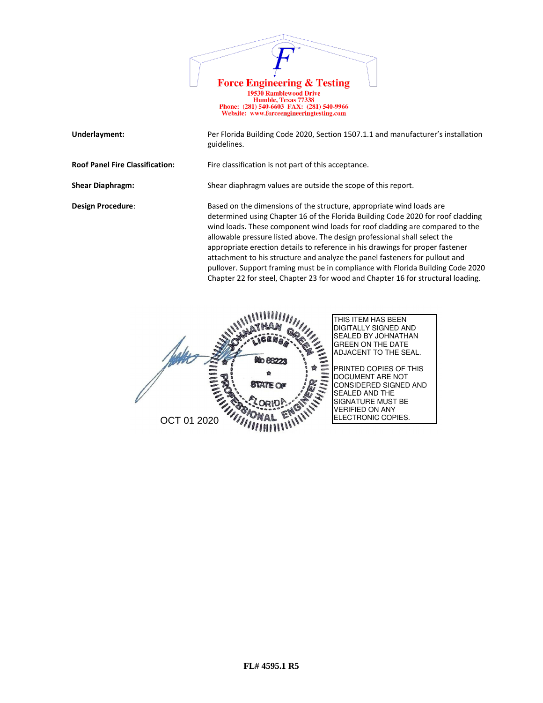

Website: www.forceengineeringtesting.com

|  | Underlayment: |
|--|---------------|
|--|---------------|

Per Florida Building Code 2020, Section 1507.1.1 and manufacturer's installation guidelines.

**Roof Panel Fire Classification:** Fire classification is not part of this acceptance.

**Shear Diaphragm:** Shear diaphragm values are outside the scope of this report.

**Design Procedure:** Based on the dimensions of the structure, appropriate wind loads are determined using Chapter 16 of the Florida Building Code 2020 for roof cladding wind loads. These component wind loads for roof cladding are compared to the allowable pressure listed above. The design professional shall select the appropriate erection details to reference in his drawings for proper fastener attachment to his structure and analyze the panel fasteners for pullout and pullover. Support framing must be in compliance with Florida Building Code 2020 Chapter 22 for steel, Chapter 23 for wood and Chapter 16 for structural loading.